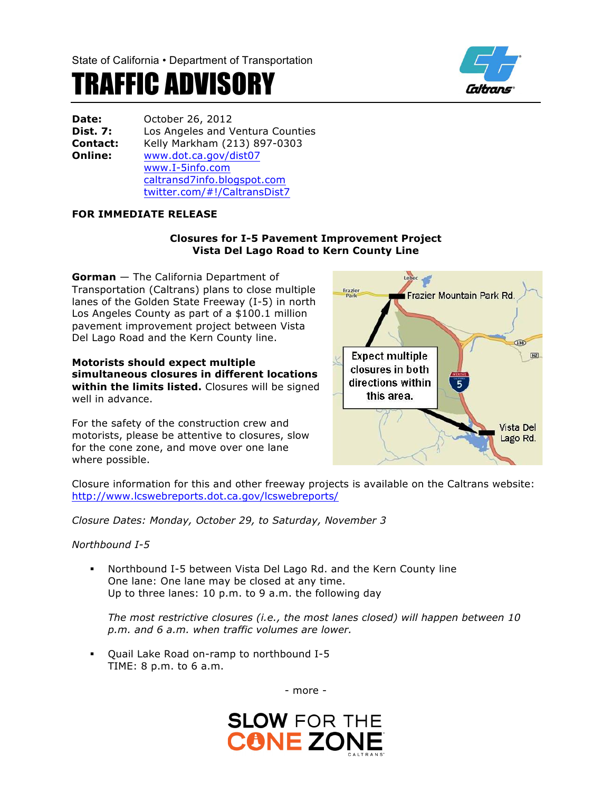

# TRAFFIC ADVISORY

| <b>Date:</b> | October 26, 2012                 |
|--------------|----------------------------------|
| Dist. 7:     | Los Angeles and Ventura Counties |
| Contact:     | Kelly Markham (213) 897-0303     |
| Online:      | www.dot.ca.gov/dist07            |
|              | www.I-5info.com                  |
|              | caltransd7info.blogspot.com      |
|              | twitter.com/#!/CaltransDist7     |

# **FOR IMMEDIATE RELEASE**

### **Closures for I-5 Pavement Improvement Project Vista Del Lago Road to Kern County Line**

**Gorman** — The California Department of Transportation (Caltrans) plans to close multiple lanes of the Golden State Freeway (I-5) in north Los Angeles County as part of a \$100.1 million pavement improvement project between Vista Del Lago Road and the Kern County line.

#### **Motorists should expect multiple simultaneous closures in different locations within the limits listed.** Closures will be signed well in advance.

For the safety of the construction crew and motorists, please be attentive to closures, slow for the cone zone, and move over one lane where possible.



Closure information for this and other freeway projects is available on the Caltrans website: http://www.lcswebreports.dot.ca.gov/lcswebreports/

*Closure Dates: Monday, October 29, to Saturday, November 3*

*Northbound I-5*

§ Northbound I-5 between Vista Del Lago Rd. and the Kern County line One lane: One lane may be closed at any time. Up to three lanes: 10 p.m. to 9 a.m. the following day

*The most restrictive closures (i.e., the most lanes closed) will happen between 10 p.m. and 6 a.m. when traffic volumes are lower.*

§ Quail Lake Road on-ramp to northbound I-5 TIME: 8 p.m. to 6 a.m.

- more -